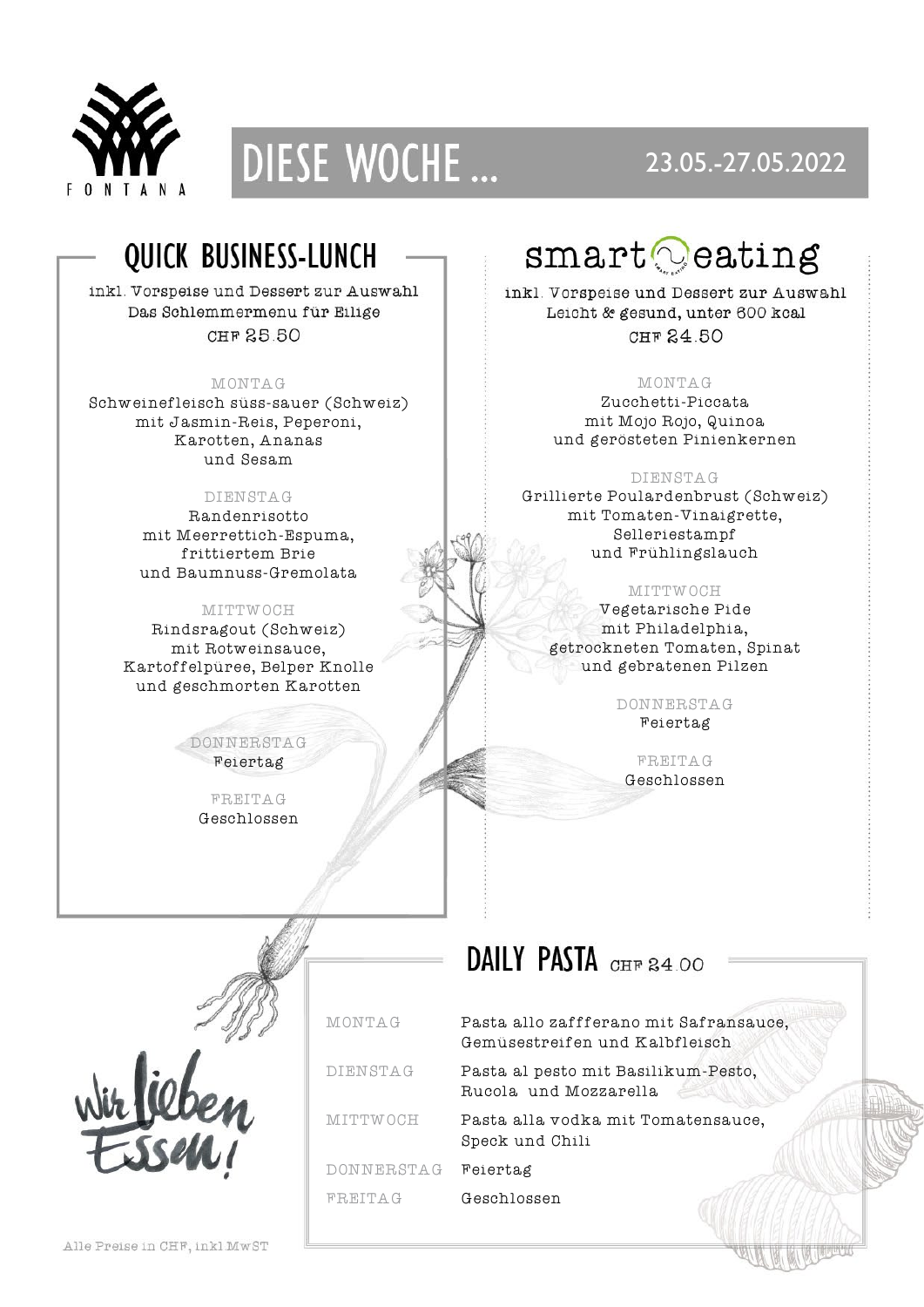



### 23.05.-27.05.2022

### QUICK BUSINESS-LUNCH

inkl. Vorspeise und Dessert zur Auswahl Das Schlemmermenu für Eilige CHF 25.50

### MONTAG

Schweinefleisch süss-sauer (Schweiz) mit Jasmin-Reis, Peperoni, Karotten, Ananas und Sesam

### DIENSTAG

Randenrisotto mit Meerrettich-Espuma, frittiertem Brie und Baumnuss-Gremolata

#### MITTWOCH

Rindsragout (Schweiz) mit Rotweinsauce, Kartoffelpüree, Belper Knolle und geschmorten Karotten

> DONNERSTAG Feiertag

> > FREITAG Geschlossen



inkl. Vorspeise und Dessert zur Auswahl Leicht & gesund, unter 600 kcal CHF 24 50

### MONTAG

Zucchetti-Piccata mit Mojo Rojo, Quinoa und gerösteten Pinienkernen

### DIENSTAG

Grillierte Poulardenbrust (Schweiz) mit Tomaten-Vinaigrette, Selleriestampf und Frühlingslauch

### MITTWOCH

Vegetarische Pide mit Philadelphia, getrockneten Tomaten, Spinat und gebratenen Pilzen

> DONNERSTAG Feiertag

FREITAG Geschlossen

### DAILY PASTA CHE 24 00



DONNERSTAG Feiertag FREITAG Geschlossen

MONTAG Pasta allo zaffferano mit Safransauce, Gemüsestreifen und Kalbfleisch

DIENSTAG Pasta al pesto mit Basilikum-Pesto, Rucola und Mozzarella

MITTWOCH Pasta alla vodka mit Tomatensauce, Speck und Chili